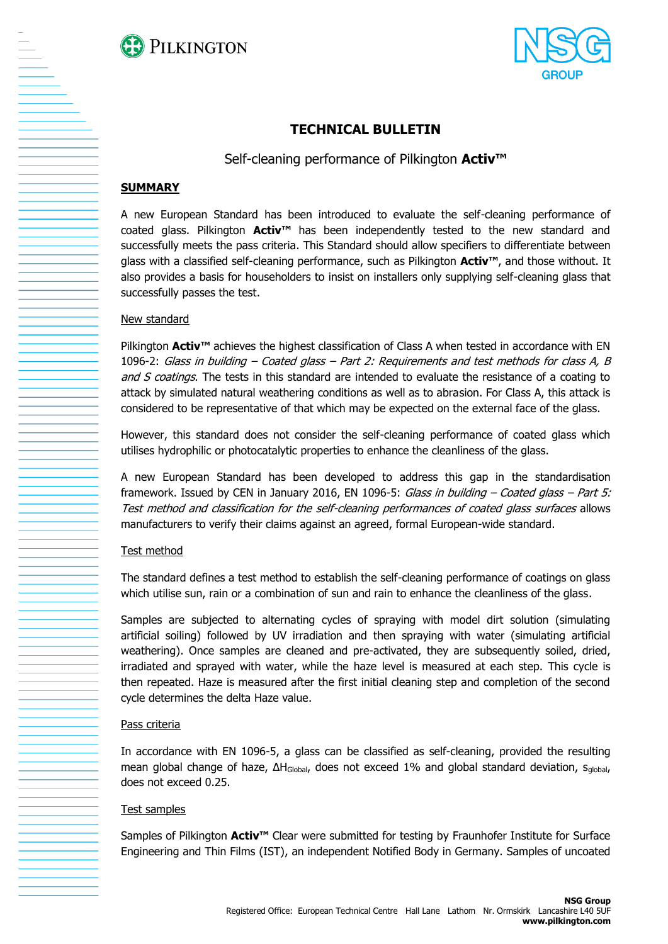



# **TECHNICAL BULLETIN**

Self-cleaning performance of Pilkington **Activ™**

## **SUMMARY**

A new European Standard has been introduced to evaluate the self-cleaning performance of coated glass. Pilkington **Activ™** has been independently tested to the new standard and successfully meets the pass criteria. This Standard should allow specifiers to differentiate between glass with a classified self-cleaning performance, such as Pilkington **Activ™**, and those without. It also provides a basis for householders to insist on installers only supplying self-cleaning glass that successfully passes the test.

### New standard

Pilkington **Activ™** achieves the highest classification of Class A when tested in accordance with EN 1096-2: Glass in building – Coated glass – Part 2: Requirements and test methods for class A, B and S coatings. The tests in this standard are intended to evaluate the resistance of a coating to attack by simulated natural weathering conditions as well as to abrasion. For Class A, this attack is considered to be representative of that which may be expected on the external face of the glass.

However, this standard does not consider the self-cleaning performance of coated glass which utilises hydrophilic or photocatalytic properties to enhance the cleanliness of the glass.

A new European Standard has been developed to address this gap in the standardisation framework. Issued by CEN in January 2016, EN 1096-5: Glass in building  $-$  Coated glass  $-$  Part 5: Test method and classification for the self-cleaning performances of coated glass surfaces allows manufacturers to verify their claims against an agreed, formal European-wide standard.

### Test method

The standard defines a test method to establish the self-cleaning performance of coatings on glass which utilise sun, rain or a combination of sun and rain to enhance the cleanliness of the glass.

Samples are subjected to alternating cycles of spraying with model dirt solution (simulating artificial soiling) followed by UV irradiation and then spraying with water (simulating artificial weathering). Once samples are cleaned and pre-activated, they are subsequently soiled, dried, irradiated and sprayed with water, while the haze level is measured at each step. This cycle is then repeated. Haze is measured after the first initial cleaning step and completion of the second cycle determines the delta Haze value.

### Pass criteria

In accordance with EN 1096-5, a glass can be classified as self-cleaning, provided the resulting mean global change of haze, ΔH<sub>Global</sub>, does not exceed 1% and global standard deviation, s<sub>qlobal</sub>, does not exceed 0.25.

### Test samples

Samples of Pilkington **Activ™** Clear were submitted for testing by Fraunhofer Institute for Surface Engineering and Thin Films (IST), an independent Notified Body in Germany. Samples of uncoated